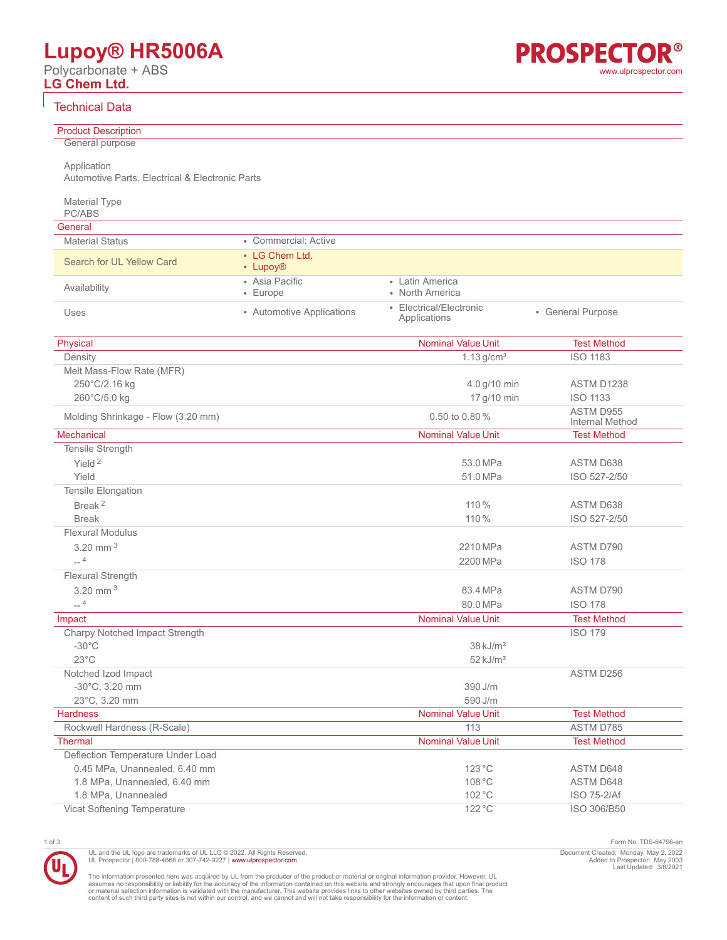# **Lupoy® HR5006A**

Polycarbonate + ABS **LG Chem Ltd.**



## Technical Data

| General purpose<br>Application<br>Automotive Parts, Electrical & Electronic Parts<br>Material Type<br>PC/ABS<br>General<br>• Commercial: Active<br><b>Material Status</b><br>• LG Chem Ltd.<br>Search for UL Yellow Card<br>• Lupoy <sup>®</sup><br>• Asia Pacific<br>• Latin America<br>Availability<br>• North America<br>• Europe<br>• Electrical/Electronic<br>• Automotive Applications<br>• General Purpose<br>Uses<br>Applications<br><b>Nominal Value Unit</b><br><b>Test Method</b><br>Physical<br><b>ISO 1183</b><br>Density<br>$1.13$ g/cm <sup>3</sup><br>Melt Mass-Flow Rate (MFR)<br>250°C/2.16 kg<br>4.0 g/10 min<br>ASTM D1238<br>260°C/5.0 kg<br>17 g/10 min<br><b>ISO 1133</b><br>ASTM D955<br>0.50 to 0.80%<br>Molding Shrinkage - Flow (3.20 mm)<br>Internal Method<br>Mechanical<br><b>Nominal Value Unit</b><br><b>Test Method</b><br>Tensile Strength<br>Yield <sup>2</sup><br>53.0 MPa<br>ASTM D638<br>Yield<br>51.0 MPa<br>ISO 527-2/50<br>Tensile Elongation<br>Break <sup>2</sup><br>110 %<br>ASTM D638<br><b>Break</b><br>110 %<br>ISO 527-2/50<br><b>Flexural Modulus</b><br>3.20 mm $^3$<br>2210 MPa<br>ASTM D790<br>$-4$<br>2200 MPa<br><b>ISO 178</b><br><b>Flexural Strength</b><br>3.20 mm $3$<br>83.4 MPa<br>ASTM D790<br>$-4$<br>80.0 MPa<br><b>ISO 178</b><br><b>Nominal Value Unit</b><br><b>Test Method</b><br>Impact<br>Charpy Notched Impact Strength<br><b>ISO 179</b><br>$-30^{\circ}$ C<br>$38 \text{ kJ/m}^2$<br>$23^{\circ}$ C<br>$52$ kJ/m <sup>2</sup><br>Notched Izod Impact<br>ASTM D256<br>-30°C, 3.20 mm<br>390 J/m<br>23°C, 3.20 mm<br>590 J/m<br><b>Nominal Value Unit</b><br><b>Test Method</b><br><b>Hardness</b><br>Rockwell Hardness (R-Scale)<br>113<br>ASTM D785<br><b>Nominal Value Unit</b><br>Thermal<br><b>Test Method</b><br>Deflection Temperature Under Load<br>0.45 MPa, Unannealed, 6.40 mm<br>123 °C<br>ASTM D648<br>1.8 MPa, Unannealed, 6.40 mm<br>108 °C<br>ASTM D648<br>1.8 MPa, Unannealed<br>102 °C<br>ISO 75-2/Af<br>Vicat Softening Temperature<br>122 °C<br>ISO 306/B50 |                            |  |  |
|--------------------------------------------------------------------------------------------------------------------------------------------------------------------------------------------------------------------------------------------------------------------------------------------------------------------------------------------------------------------------------------------------------------------------------------------------------------------------------------------------------------------------------------------------------------------------------------------------------------------------------------------------------------------------------------------------------------------------------------------------------------------------------------------------------------------------------------------------------------------------------------------------------------------------------------------------------------------------------------------------------------------------------------------------------------------------------------------------------------------------------------------------------------------------------------------------------------------------------------------------------------------------------------------------------------------------------------------------------------------------------------------------------------------------------------------------------------------------------------------------------------------------------------------------------------------------------------------------------------------------------------------------------------------------------------------------------------------------------------------------------------------------------------------------------------------------------------------------------------------------------------------------------------------------------------------------------------------------------------------------------------------------------------------------------|----------------------------|--|--|
|                                                                                                                                                                                                                                                                                                                                                                                                                                                                                                                                                                                                                                                                                                                                                                                                                                                                                                                                                                                                                                                                                                                                                                                                                                                                                                                                                                                                                                                                                                                                                                                                                                                                                                                                                                                                                                                                                                                                                                                                                                                        | <b>Product Description</b> |  |  |
|                                                                                                                                                                                                                                                                                                                                                                                                                                                                                                                                                                                                                                                                                                                                                                                                                                                                                                                                                                                                                                                                                                                                                                                                                                                                                                                                                                                                                                                                                                                                                                                                                                                                                                                                                                                                                                                                                                                                                                                                                                                        |                            |  |  |
|                                                                                                                                                                                                                                                                                                                                                                                                                                                                                                                                                                                                                                                                                                                                                                                                                                                                                                                                                                                                                                                                                                                                                                                                                                                                                                                                                                                                                                                                                                                                                                                                                                                                                                                                                                                                                                                                                                                                                                                                                                                        |                            |  |  |
|                                                                                                                                                                                                                                                                                                                                                                                                                                                                                                                                                                                                                                                                                                                                                                                                                                                                                                                                                                                                                                                                                                                                                                                                                                                                                                                                                                                                                                                                                                                                                                                                                                                                                                                                                                                                                                                                                                                                                                                                                                                        |                            |  |  |
|                                                                                                                                                                                                                                                                                                                                                                                                                                                                                                                                                                                                                                                                                                                                                                                                                                                                                                                                                                                                                                                                                                                                                                                                                                                                                                                                                                                                                                                                                                                                                                                                                                                                                                                                                                                                                                                                                                                                                                                                                                                        |                            |  |  |
|                                                                                                                                                                                                                                                                                                                                                                                                                                                                                                                                                                                                                                                                                                                                                                                                                                                                                                                                                                                                                                                                                                                                                                                                                                                                                                                                                                                                                                                                                                                                                                                                                                                                                                                                                                                                                                                                                                                                                                                                                                                        |                            |  |  |
|                                                                                                                                                                                                                                                                                                                                                                                                                                                                                                                                                                                                                                                                                                                                                                                                                                                                                                                                                                                                                                                                                                                                                                                                                                                                                                                                                                                                                                                                                                                                                                                                                                                                                                                                                                                                                                                                                                                                                                                                                                                        |                            |  |  |
|                                                                                                                                                                                                                                                                                                                                                                                                                                                                                                                                                                                                                                                                                                                                                                                                                                                                                                                                                                                                                                                                                                                                                                                                                                                                                                                                                                                                                                                                                                                                                                                                                                                                                                                                                                                                                                                                                                                                                                                                                                                        |                            |  |  |
|                                                                                                                                                                                                                                                                                                                                                                                                                                                                                                                                                                                                                                                                                                                                                                                                                                                                                                                                                                                                                                                                                                                                                                                                                                                                                                                                                                                                                                                                                                                                                                                                                                                                                                                                                                                                                                                                                                                                                                                                                                                        |                            |  |  |
|                                                                                                                                                                                                                                                                                                                                                                                                                                                                                                                                                                                                                                                                                                                                                                                                                                                                                                                                                                                                                                                                                                                                                                                                                                                                                                                                                                                                                                                                                                                                                                                                                                                                                                                                                                                                                                                                                                                                                                                                                                                        |                            |  |  |
|                                                                                                                                                                                                                                                                                                                                                                                                                                                                                                                                                                                                                                                                                                                                                                                                                                                                                                                                                                                                                                                                                                                                                                                                                                                                                                                                                                                                                                                                                                                                                                                                                                                                                                                                                                                                                                                                                                                                                                                                                                                        |                            |  |  |
|                                                                                                                                                                                                                                                                                                                                                                                                                                                                                                                                                                                                                                                                                                                                                                                                                                                                                                                                                                                                                                                                                                                                                                                                                                                                                                                                                                                                                                                                                                                                                                                                                                                                                                                                                                                                                                                                                                                                                                                                                                                        |                            |  |  |
|                                                                                                                                                                                                                                                                                                                                                                                                                                                                                                                                                                                                                                                                                                                                                                                                                                                                                                                                                                                                                                                                                                                                                                                                                                                                                                                                                                                                                                                                                                                                                                                                                                                                                                                                                                                                                                                                                                                                                                                                                                                        |                            |  |  |
|                                                                                                                                                                                                                                                                                                                                                                                                                                                                                                                                                                                                                                                                                                                                                                                                                                                                                                                                                                                                                                                                                                                                                                                                                                                                                                                                                                                                                                                                                                                                                                                                                                                                                                                                                                                                                                                                                                                                                                                                                                                        |                            |  |  |
|                                                                                                                                                                                                                                                                                                                                                                                                                                                                                                                                                                                                                                                                                                                                                                                                                                                                                                                                                                                                                                                                                                                                                                                                                                                                                                                                                                                                                                                                                                                                                                                                                                                                                                                                                                                                                                                                                                                                                                                                                                                        |                            |  |  |
|                                                                                                                                                                                                                                                                                                                                                                                                                                                                                                                                                                                                                                                                                                                                                                                                                                                                                                                                                                                                                                                                                                                                                                                                                                                                                                                                                                                                                                                                                                                                                                                                                                                                                                                                                                                                                                                                                                                                                                                                                                                        |                            |  |  |
|                                                                                                                                                                                                                                                                                                                                                                                                                                                                                                                                                                                                                                                                                                                                                                                                                                                                                                                                                                                                                                                                                                                                                                                                                                                                                                                                                                                                                                                                                                                                                                                                                                                                                                                                                                                                                                                                                                                                                                                                                                                        |                            |  |  |
|                                                                                                                                                                                                                                                                                                                                                                                                                                                                                                                                                                                                                                                                                                                                                                                                                                                                                                                                                                                                                                                                                                                                                                                                                                                                                                                                                                                                                                                                                                                                                                                                                                                                                                                                                                                                                                                                                                                                                                                                                                                        |                            |  |  |
|                                                                                                                                                                                                                                                                                                                                                                                                                                                                                                                                                                                                                                                                                                                                                                                                                                                                                                                                                                                                                                                                                                                                                                                                                                                                                                                                                                                                                                                                                                                                                                                                                                                                                                                                                                                                                                                                                                                                                                                                                                                        |                            |  |  |
|                                                                                                                                                                                                                                                                                                                                                                                                                                                                                                                                                                                                                                                                                                                                                                                                                                                                                                                                                                                                                                                                                                                                                                                                                                                                                                                                                                                                                                                                                                                                                                                                                                                                                                                                                                                                                                                                                                                                                                                                                                                        |                            |  |  |
|                                                                                                                                                                                                                                                                                                                                                                                                                                                                                                                                                                                                                                                                                                                                                                                                                                                                                                                                                                                                                                                                                                                                                                                                                                                                                                                                                                                                                                                                                                                                                                                                                                                                                                                                                                                                                                                                                                                                                                                                                                                        |                            |  |  |
|                                                                                                                                                                                                                                                                                                                                                                                                                                                                                                                                                                                                                                                                                                                                                                                                                                                                                                                                                                                                                                                                                                                                                                                                                                                                                                                                                                                                                                                                                                                                                                                                                                                                                                                                                                                                                                                                                                                                                                                                                                                        |                            |  |  |
|                                                                                                                                                                                                                                                                                                                                                                                                                                                                                                                                                                                                                                                                                                                                                                                                                                                                                                                                                                                                                                                                                                                                                                                                                                                                                                                                                                                                                                                                                                                                                                                                                                                                                                                                                                                                                                                                                                                                                                                                                                                        |                            |  |  |
|                                                                                                                                                                                                                                                                                                                                                                                                                                                                                                                                                                                                                                                                                                                                                                                                                                                                                                                                                                                                                                                                                                                                                                                                                                                                                                                                                                                                                                                                                                                                                                                                                                                                                                                                                                                                                                                                                                                                                                                                                                                        |                            |  |  |
|                                                                                                                                                                                                                                                                                                                                                                                                                                                                                                                                                                                                                                                                                                                                                                                                                                                                                                                                                                                                                                                                                                                                                                                                                                                                                                                                                                                                                                                                                                                                                                                                                                                                                                                                                                                                                                                                                                                                                                                                                                                        |                            |  |  |
|                                                                                                                                                                                                                                                                                                                                                                                                                                                                                                                                                                                                                                                                                                                                                                                                                                                                                                                                                                                                                                                                                                                                                                                                                                                                                                                                                                                                                                                                                                                                                                                                                                                                                                                                                                                                                                                                                                                                                                                                                                                        |                            |  |  |
|                                                                                                                                                                                                                                                                                                                                                                                                                                                                                                                                                                                                                                                                                                                                                                                                                                                                                                                                                                                                                                                                                                                                                                                                                                                                                                                                                                                                                                                                                                                                                                                                                                                                                                                                                                                                                                                                                                                                                                                                                                                        |                            |  |  |
|                                                                                                                                                                                                                                                                                                                                                                                                                                                                                                                                                                                                                                                                                                                                                                                                                                                                                                                                                                                                                                                                                                                                                                                                                                                                                                                                                                                                                                                                                                                                                                                                                                                                                                                                                                                                                                                                                                                                                                                                                                                        |                            |  |  |
|                                                                                                                                                                                                                                                                                                                                                                                                                                                                                                                                                                                                                                                                                                                                                                                                                                                                                                                                                                                                                                                                                                                                                                                                                                                                                                                                                                                                                                                                                                                                                                                                                                                                                                                                                                                                                                                                                                                                                                                                                                                        |                            |  |  |
|                                                                                                                                                                                                                                                                                                                                                                                                                                                                                                                                                                                                                                                                                                                                                                                                                                                                                                                                                                                                                                                                                                                                                                                                                                                                                                                                                                                                                                                                                                                                                                                                                                                                                                                                                                                                                                                                                                                                                                                                                                                        |                            |  |  |
|                                                                                                                                                                                                                                                                                                                                                                                                                                                                                                                                                                                                                                                                                                                                                                                                                                                                                                                                                                                                                                                                                                                                                                                                                                                                                                                                                                                                                                                                                                                                                                                                                                                                                                                                                                                                                                                                                                                                                                                                                                                        |                            |  |  |
|                                                                                                                                                                                                                                                                                                                                                                                                                                                                                                                                                                                                                                                                                                                                                                                                                                                                                                                                                                                                                                                                                                                                                                                                                                                                                                                                                                                                                                                                                                                                                                                                                                                                                                                                                                                                                                                                                                                                                                                                                                                        |                            |  |  |
|                                                                                                                                                                                                                                                                                                                                                                                                                                                                                                                                                                                                                                                                                                                                                                                                                                                                                                                                                                                                                                                                                                                                                                                                                                                                                                                                                                                                                                                                                                                                                                                                                                                                                                                                                                                                                                                                                                                                                                                                                                                        |                            |  |  |
|                                                                                                                                                                                                                                                                                                                                                                                                                                                                                                                                                                                                                                                                                                                                                                                                                                                                                                                                                                                                                                                                                                                                                                                                                                                                                                                                                                                                                                                                                                                                                                                                                                                                                                                                                                                                                                                                                                                                                                                                                                                        |                            |  |  |
|                                                                                                                                                                                                                                                                                                                                                                                                                                                                                                                                                                                                                                                                                                                                                                                                                                                                                                                                                                                                                                                                                                                                                                                                                                                                                                                                                                                                                                                                                                                                                                                                                                                                                                                                                                                                                                                                                                                                                                                                                                                        |                            |  |  |
|                                                                                                                                                                                                                                                                                                                                                                                                                                                                                                                                                                                                                                                                                                                                                                                                                                                                                                                                                                                                                                                                                                                                                                                                                                                                                                                                                                                                                                                                                                                                                                                                                                                                                                                                                                                                                                                                                                                                                                                                                                                        |                            |  |  |
|                                                                                                                                                                                                                                                                                                                                                                                                                                                                                                                                                                                                                                                                                                                                                                                                                                                                                                                                                                                                                                                                                                                                                                                                                                                                                                                                                                                                                                                                                                                                                                                                                                                                                                                                                                                                                                                                                                                                                                                                                                                        |                            |  |  |
|                                                                                                                                                                                                                                                                                                                                                                                                                                                                                                                                                                                                                                                                                                                                                                                                                                                                                                                                                                                                                                                                                                                                                                                                                                                                                                                                                                                                                                                                                                                                                                                                                                                                                                                                                                                                                                                                                                                                                                                                                                                        |                            |  |  |
|                                                                                                                                                                                                                                                                                                                                                                                                                                                                                                                                                                                                                                                                                                                                                                                                                                                                                                                                                                                                                                                                                                                                                                                                                                                                                                                                                                                                                                                                                                                                                                                                                                                                                                                                                                                                                                                                                                                                                                                                                                                        |                            |  |  |
|                                                                                                                                                                                                                                                                                                                                                                                                                                                                                                                                                                                                                                                                                                                                                                                                                                                                                                                                                                                                                                                                                                                                                                                                                                                                                                                                                                                                                                                                                                                                                                                                                                                                                                                                                                                                                                                                                                                                                                                                                                                        |                            |  |  |
|                                                                                                                                                                                                                                                                                                                                                                                                                                                                                                                                                                                                                                                                                                                                                                                                                                                                                                                                                                                                                                                                                                                                                                                                                                                                                                                                                                                                                                                                                                                                                                                                                                                                                                                                                                                                                                                                                                                                                                                                                                                        |                            |  |  |
|                                                                                                                                                                                                                                                                                                                                                                                                                                                                                                                                                                                                                                                                                                                                                                                                                                                                                                                                                                                                                                                                                                                                                                                                                                                                                                                                                                                                                                                                                                                                                                                                                                                                                                                                                                                                                                                                                                                                                                                                                                                        |                            |  |  |
|                                                                                                                                                                                                                                                                                                                                                                                                                                                                                                                                                                                                                                                                                                                                                                                                                                                                                                                                                                                                                                                                                                                                                                                                                                                                                                                                                                                                                                                                                                                                                                                                                                                                                                                                                                                                                                                                                                                                                                                                                                                        |                            |  |  |
|                                                                                                                                                                                                                                                                                                                                                                                                                                                                                                                                                                                                                                                                                                                                                                                                                                                                                                                                                                                                                                                                                                                                                                                                                                                                                                                                                                                                                                                                                                                                                                                                                                                                                                                                                                                                                                                                                                                                                                                                                                                        |                            |  |  |
|                                                                                                                                                                                                                                                                                                                                                                                                                                                                                                                                                                                                                                                                                                                                                                                                                                                                                                                                                                                                                                                                                                                                                                                                                                                                                                                                                                                                                                                                                                                                                                                                                                                                                                                                                                                                                                                                                                                                                                                                                                                        |                            |  |  |
|                                                                                                                                                                                                                                                                                                                                                                                                                                                                                                                                                                                                                                                                                                                                                                                                                                                                                                                                                                                                                                                                                                                                                                                                                                                                                                                                                                                                                                                                                                                                                                                                                                                                                                                                                                                                                                                                                                                                                                                                                                                        |                            |  |  |
|                                                                                                                                                                                                                                                                                                                                                                                                                                                                                                                                                                                                                                                                                                                                                                                                                                                                                                                                                                                                                                                                                                                                                                                                                                                                                                                                                                                                                                                                                                                                                                                                                                                                                                                                                                                                                                                                                                                                                                                                                                                        |                            |  |  |

UL and the UL logo are trademarks of UL LLC © 2022. All Rights Reserved.<br>UL Prospector | 800-788-4668 or 307-742-9227 | [www.ulprospector.com](http://www.ulprospector.com).

1 of 3 Form No. TDS-64796-en Document Created: Monday, May 2, 2022 Added to Prospector: May 2003 Last Updated: 3/8/2021

The information presented here was acquired by UL from the producer of the product or material or original information provider. However, UL<br>assumes no responsibility or liability for the accuracy of the information contai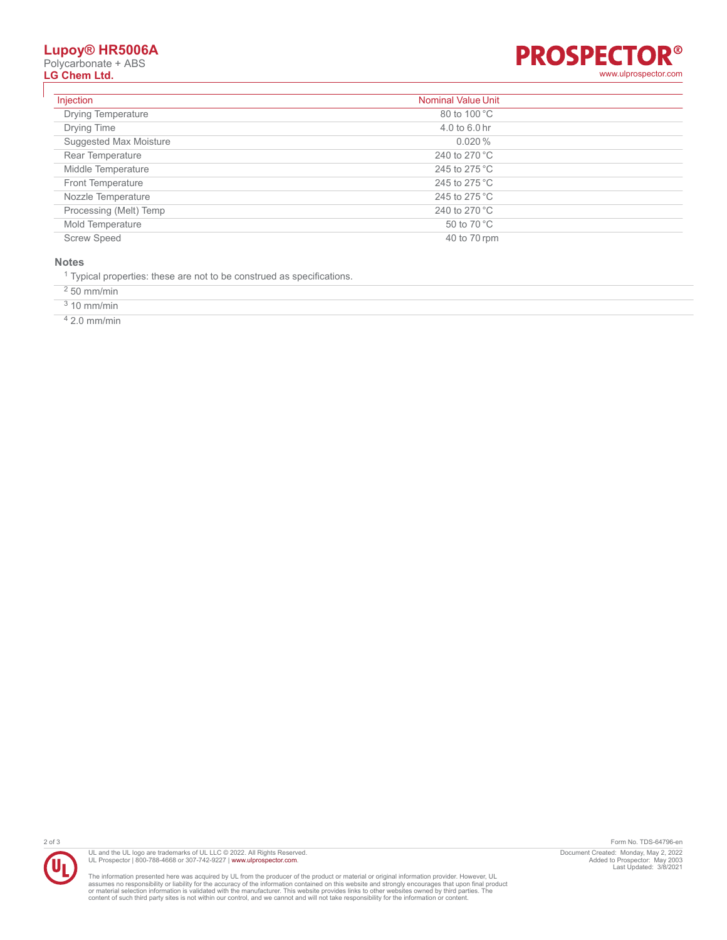# **Lupoy® HR5006A**

Polycarbonate + ABS<br>**LG Chem Ltd.** 



| Injection                 | <b>Nominal Value Unit</b> |  |
|---------------------------|---------------------------|--|
| <b>Drying Temperature</b> | 80 to 100 °C              |  |
| Drying Time               | 4.0 to 6.0 hr             |  |
| Suggested Max Moisture    | 0.020%                    |  |
| Rear Temperature          | 240 to 270 $^{\circ}$ C   |  |
| Middle Temperature        | 245 to 275 °C             |  |
| <b>Front Temperature</b>  | 245 to 275 °C             |  |
| Nozzle Temperature        | 245 to 275 $^{\circ}$ C   |  |
| Processing (Melt) Temp    | 240 to 270 $^{\circ}$ C   |  |
| Mold Temperature          | 50 to 70 °C               |  |
| <b>Screw Speed</b>        | 40 to 70 rpm              |  |

#### **Notes**

<sup>1</sup> Typical properties: these are not to be construed as specifications.

2 50 mm/min

3 10 mm/min

4 2.0 mm/min



UL and the UL logo are trademarks of UL LLC © 2022. All Rights Reserved.<br>UL Prospector | 800-788-4668 or 307-742-9227 | [www.ulprospector.com](http://www.ulprospector.com).

The information presented here was acquired by UL from the producer of the product or material or original information provider. However, UL<br>assumes no responsibility or liability for the accuracy of the information contai

2 of 3 Form No. TDS-64796-en Document Created: Monday, May 2, 2022 Added to Prospector: May 2003 Last Updated: 3/8/2021